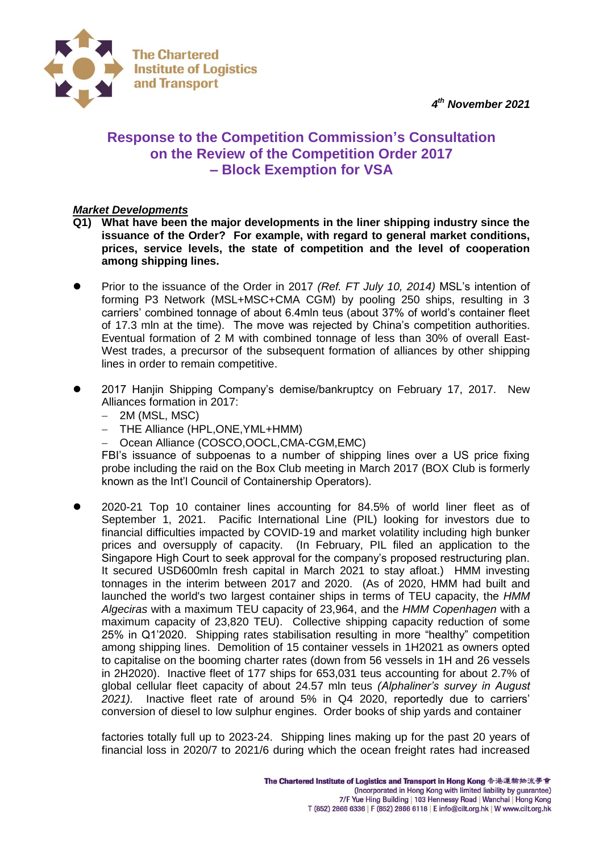*4 th November 2021*



# **Response to the Competition Commission's Consultation on the Review of the Competition Order 2017 – Block Exemption for VSA**

## *Market Developments*

- **Q1) What have been the major developments in the liner shipping industry since the issuance of the Order? For example, with regard to general market conditions, prices, service levels, the state of competition and the level of cooperation among shipping lines.**
- Prior to the issuance of the Order in 2017 *(Ref. FT July 10, 2014)* MSL's intention of forming P3 Network (MSL+MSC+CMA CGM) by pooling 250 ships, resulting in 3 carriers' combined tonnage of about 6.4mln teus (about 37% of world's container fleet of 17.3 mln at the time). The move was rejected by China's competition authorities. Eventual formation of 2 M with combined tonnage of less than 30% of overall East-West trades, a precursor of the subsequent formation of alliances by other shipping lines in order to remain competitive.
- 2017 Hanjin Shipping Company's demise/bankruptcy on February 17, 2017. New Alliances formation in 2017:
	- $-$  2M (MSL, MSC)
	- THE Alliance (HPL, ONE, YML+HMM)
	- Ocean Alliance (COSCO,OOCL,CMA-CGM,EMC)

FBI's issuance of subpoenas to a number of shipping lines over a US price fixing probe including the raid on the Box Club meeting in March 2017 (BOX Club is formerly known as the Int'l Council of Containership Operators).

 2020-21 Top 10 container lines accounting for 84.5% of world liner fleet as of September 1, 2021. Pacific International Line (PIL) looking for investors due to financial difficulties impacted by COVID-19 and market volatility including high bunker prices and oversupply of capacity. (In February, PIL filed an application to the Singapore High Court to seek approval for the company's proposed restructuring plan. It secured USD600mln fresh capital in March 2021 to stay afloat.) HMM investing tonnages in the interim between 2017 and 2020. (As of 2020, HMM had built and launched the world's two largest container ships in terms of TEU capacity, the *HMM Algeciras* with a maximum TEU capacity of 23,964, and the *HMM Copenhagen* with a maximum capacity of 23,820 TEU). Collective shipping capacity reduction of some 25% in Q1'2020. Shipping rates stabilisation resulting in more "healthy" competition among shipping lines. Demolition of 15 container vessels in 1H2021 as owners opted to capitalise on the booming charter rates (down from 56 vessels in 1H and 26 vessels in 2H2020). Inactive fleet of 177 ships for 653,031 teus accounting for about 2.7% of global cellular fleet capacity of about 24.57 mln teus *(Alphaliner's survey in August 2021).* Inactive fleet rate of around 5% in Q4 2020, reportedly due to carriers' conversion of diesel to low sulphur engines. Order books of ship yards and container

factories totally full up to 2023-24. Shipping lines making up for the past 20 years of financial loss in 2020/7 to 2021/6 during which the ocean freight rates had increased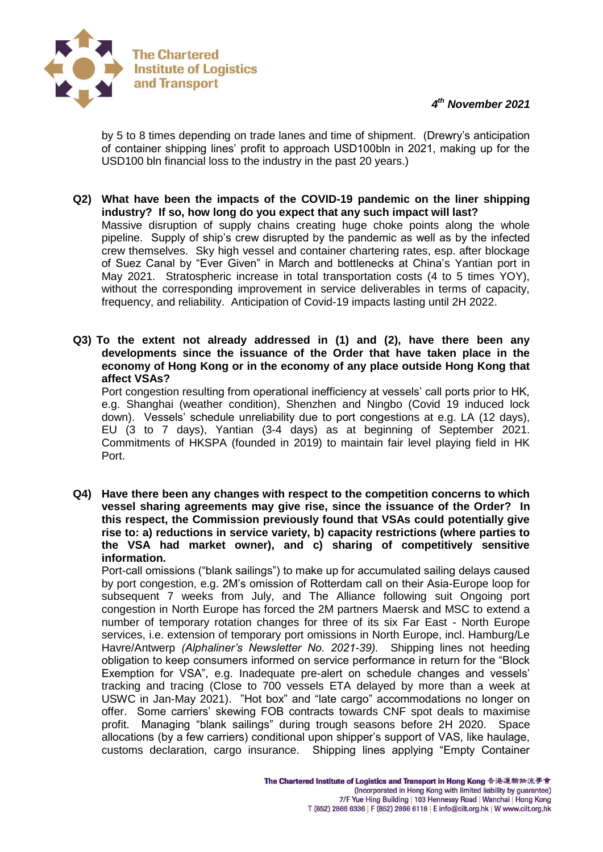



by 5 to 8 times depending on trade lanes and time of shipment. (Drewry's anticipation of container shipping lines' profit to approach USD100bln in 2021, making up for the USD100 bln financial loss to the industry in the past 20 years.)

- **Q2) What have been the impacts of the COVID-19 pandemic on the liner shipping industry? If so, how long do you expect that any such impact will last?** Massive disruption of supply chains creating huge choke points along the whole pipeline. Supply of ship's crew disrupted by the pandemic as well as by the infected crew themselves. Sky high vessel and container chartering rates, esp. after blockage of Suez Canal by "Ever Given" in March and bottlenecks at China's Yantian port in May 2021. Stratospheric increase in total transportation costs (4 to 5 times YOY), without the corresponding improvement in service deliverables in terms of capacity, frequency, and reliability. Anticipation of Covid-19 impacts lasting until 2H 2022.
- **Q3) To the extent not already addressed in (1) and (2), have there been any developments since the issuance of the Order that have taken place in the economy of Hong Kong or in the economy of any place outside Hong Kong that affect VSAs?**

Port congestion resulting from operational inefficiency at vessels' call ports prior to HK, e.g. Shanghai (weather condition), Shenzhen and Ningbo (Covid 19 induced lock down). Vessels' schedule unreliability due to port congestions at e.g. LA (12 days), EU (3 to 7 days), Yantian (3-4 days) as at beginning of September 2021. Commitments of HKSPA (founded in 2019) to maintain fair level playing field in HK Port.

**Q4) Have there been any changes with respect to the competition concerns to which vessel sharing agreements may give rise, since the issuance of the Order? In this respect, the Commission previously found that VSAs could potentially give rise to: a) reductions in service variety, b) capacity restrictions (where parties to the VSA had market owner), and c) sharing of competitively sensitive information.**

Port-call omissions ("blank sailings") to make up for accumulated sailing delays caused by port congestion, e.g. 2M's omission of Rotterdam call on their Asia-Europe loop for subsequent 7 weeks from July, and The Alliance following suit Ongoing port congestion in North Europe has forced the 2M partners Maersk and MSC to extend a number of temporary rotation changes for three of its six Far East - North Europe services, i.e. extension of temporary port omissions in North Europe, incl. Hamburg/Le Havre/Antwerp *(Alphaliner's Newsletter No. 2021-39).* Shipping lines not heeding obligation to keep consumers informed on service performance in return for the "Block Exemption for VSA", e.g. Inadequate pre-alert on schedule changes and vessels' tracking and tracing (Close to 700 vessels ETA delayed by more than a week at USWC in Jan-May 2021). "Hot box" and "late cargo" accommodations no longer on offer. Some carriers' skewing FOB contracts towards CNF spot deals to maximise profit. Managing "blank sailings" during trough seasons before 2H 2020. Space allocations (by a few carriers) conditional upon shipper's support of VAS, like haulage, customs declaration, cargo insurance. Shipping lines applying "Empty Container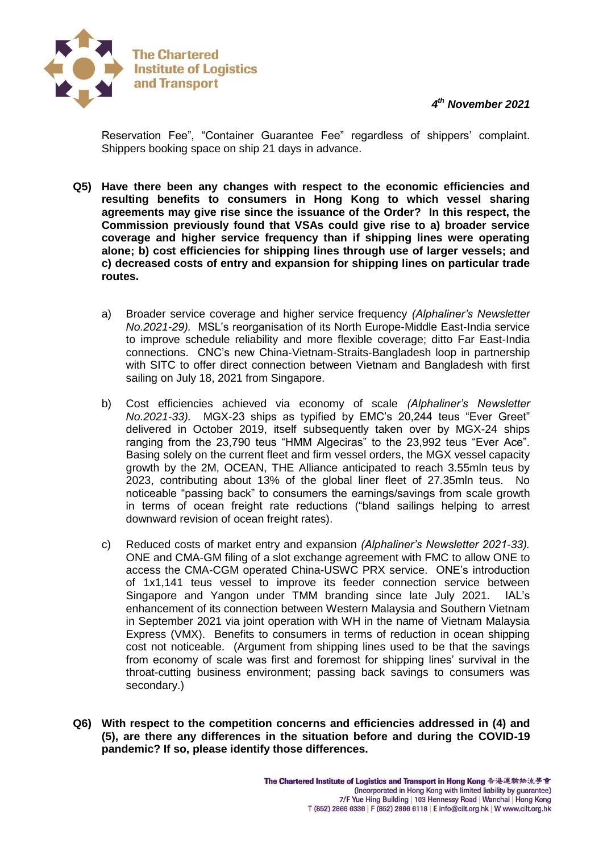*4 th November 2021*



Reservation Fee", "Container Guarantee Fee" regardless of shippers' complaint. Shippers booking space on ship 21 days in advance.

- **Q5) Have there been any changes with respect to the economic efficiencies and resulting benefits to consumers in Hong Kong to which vessel sharing agreements may give rise since the issuance of the Order? In this respect, the Commission previously found that VSAs could give rise to a) broader service coverage and higher service frequency than if shipping lines were operating alone; b) cost efficiencies for shipping lines through use of larger vessels; and c) decreased costs of entry and expansion for shipping lines on particular trade routes.**
	- a) Broader service coverage and higher service frequency *(Alphaliner's Newsletter No.2021-29).* MSL's reorganisation of its North Europe-Middle East-India service to improve schedule reliability and more flexible coverage; ditto Far East-India connections. CNC's new China-Vietnam-Straits-Bangladesh loop in partnership with SITC to offer direct connection between Vietnam and Bangladesh with first sailing on July 18, 2021 from Singapore.
	- b) Cost efficiencies achieved via economy of scale *(Alphaliner's Newsletter No.2021-33).* MGX-23 ships as typified by EMC's 20,244 teus "Ever Greet" delivered in October 2019, itself subsequently taken over by MGX-24 ships ranging from the 23,790 teus "HMM Algeciras" to the 23,992 teus "Ever Ace". Basing solely on the current fleet and firm vessel orders, the MGX vessel capacity growth by the 2M, OCEAN, THE Alliance anticipated to reach 3.55mln teus by 2023, contributing about 13% of the global liner fleet of 27.35mln teus. No noticeable "passing back" to consumers the earnings/savings from scale growth in terms of ocean freight rate reductions ("bland sailings helping to arrest downward revision of ocean freight rates).
	- c) Reduced costs of market entry and expansion *(Alphaliner's Newsletter 2021-33).* ONE and CMA-GM filing of a slot exchange agreement with FMC to allow ONE to access the CMA-CGM operated China-USWC PRX service. ONE's introduction of 1x1,141 teus vessel to improve its feeder connection service between Singapore and Yangon under TMM branding since late July 2021. IAL's enhancement of its connection between Western Malaysia and Southern Vietnam in September 2021 via joint operation with WH in the name of Vietnam Malaysia Express (VMX). Benefits to consumers in terms of reduction in ocean shipping cost not noticeable. (Argument from shipping lines used to be that the savings from economy of scale was first and foremost for shipping lines' survival in the throat-cutting business environment; passing back savings to consumers was secondary.)
- **Q6) With respect to the competition concerns and efficiencies addressed in (4) and (5), are there any differences in the situation before and during the COVID-19 pandemic? If so, please identify those differences.**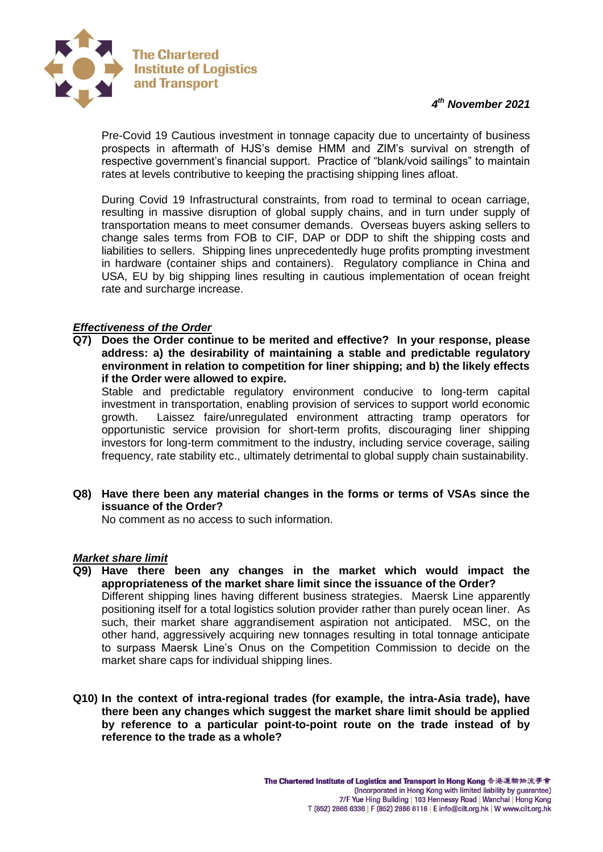

Pre-Covid 19 Cautious investment in tonnage capacity due to uncertainty of business prospects in aftermath of HJS's demise HMM and ZIM's survival on strength of respective government's financial support. Practice of "blank/void sailings" to maintain rates at levels contributive to keeping the practising shipping lines afloat.

During Covid 19 Infrastructural constraints, from road to terminal to ocean carriage, resulting in massive disruption of global supply chains, and in turn under supply of transportation means to meet consumer demands. Overseas buyers asking sellers to change sales terms from FOB to CIF, DAP or DDP to shift the shipping costs and liabilities to sellers. Shipping lines unprecedentedly huge profits prompting investment in hardware (container ships and containers). Regulatory compliance in China and USA, EU by big shipping lines resulting in cautious implementation of ocean freight rate and surcharge increase.

## *Effectiveness of the Order*

**Q7) Does the Order continue to be merited and effective? In your response, please address: a) the desirability of maintaining a stable and predictable regulatory environment in relation to competition for liner shipping; and b) the likely effects if the Order were allowed to expire.**

Stable and predictable regulatory environment conducive to long-term capital investment in transportation, enabling provision of services to support world economic growth. Laissez faire/unregulated environment attracting tramp operators for opportunistic service provision for short-term profits, discouraging liner shipping investors for long-term commitment to the industry, including service coverage, sailing frequency, rate stability etc., ultimately detrimental to global supply chain sustainability.

**Q8) Have there been any material changes in the forms or terms of VSAs since the issuance of the Order?** 

No comment as no access to such information.

## *Market share limit*

- **Q9) Have there been any changes in the market which would impact the appropriateness of the market share limit since the issuance of the Order?** Different shipping lines having different business strategies. Maersk Line apparently positioning itself for a total logistics solution provider rather than purely ocean liner. As such, their market share aggrandisement aspiration not anticipated. MSC, on the other hand, aggressively acquiring new tonnages resulting in total tonnage anticipate to surpass Maersk Line's Onus on the Competition Commission to decide on the market share caps for individual shipping lines.
- **Q10) In the context of intra-regional trades (for example, the intra-Asia trade), have there been any changes which suggest the market share limit should be applied by reference to a particular point-to-point route on the trade instead of by reference to the trade as a whole?**